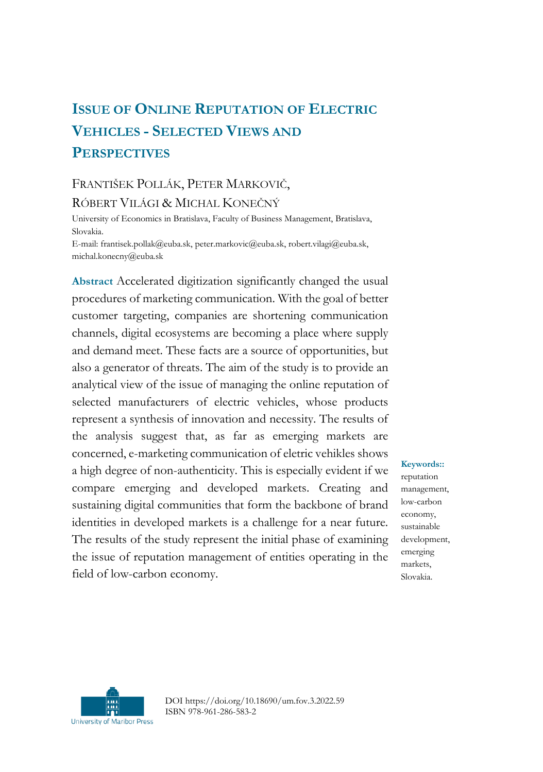# **ISSUE OF ONLINE REPUTATION OF ELECTRIC VEHICLES - SELECTED VIEWS AND PERSPECTIVES**

## FRANTIŠEK POLLÁK, PETER MARKOVIČ,

RÓBERT VILÁGI & MICHAL KONEČNÝ

University of Economics in Bratislava, Faculty of Business Management, Bratislava, Slovakia.

E-mail: frantisek.pollak@euba.sk, peter.markovic@euba.sk, robert.vilagi@euba.sk, michal.konecny@euba.sk

**Abstract** Accelerated digitization significantly changed the usual procedures of marketing communication. With the goal of better customer targeting, companies are shortening communication channels, digital ecosystems are becoming a place where supply and demand meet. These facts are a source of opportunities, but also a generator of threats. The aim of the study is to provide an analytical view of the issue of managing the online reputation of selected manufacturers of electric vehicles, whose products represent a synthesis of innovation and necessity. The results of the analysis suggest that, as far as emerging markets are concerned, e-marketing communication of eletric vehikles shows a high degree of non-authenticity. This is especially evident if we compare emerging and developed markets. Creating and sustaining digital communities that form the backbone of brand identities in developed markets is a challenge for a near future. The results of the study represent the initial phase of examining the issue of reputation management of entities operating in the field of low-carbon economy.

**Keywords::** reputation management, low-carbon economy, sustainable development, emerging markets, Slovakia.



DOI https://doi.org/10.18690/um.fov.3.2022.59 ISBN 978-961-286-583-2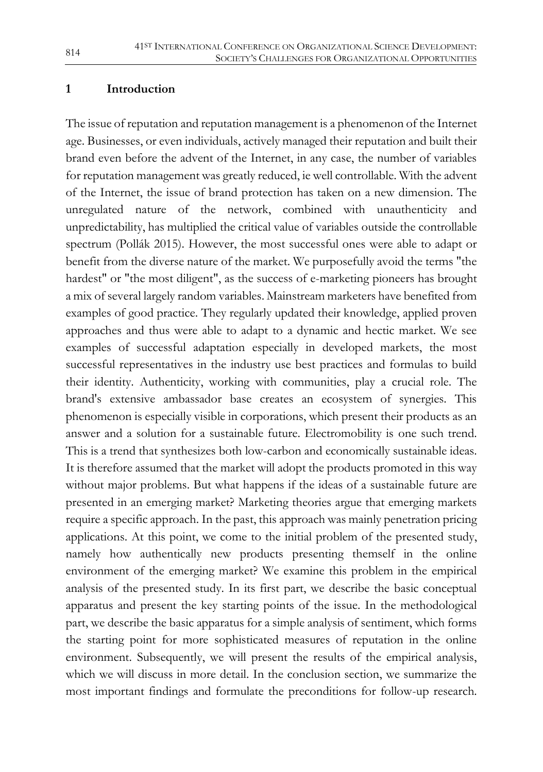#### **1 Introduction**

The issue of reputation and reputation management is a phenomenon of the Internet age. Businesses, or even individuals, actively managed their reputation and built their brand even before the advent of the Internet, in any case, the number of variables for reputation management was greatly reduced, ie well controllable. With the advent of the Internet, the issue of brand protection has taken on a new dimension. The unregulated nature of the network, combined with unauthenticity and unpredictability, has multiplied the critical value of variables outside the controllable spectrum (Pollák 2015). However, the most successful ones were able to adapt or benefit from the diverse nature of the market. We purposefully avoid the terms "the hardest" or "the most diligent", as the success of e-marketing pioneers has brought a mix of several largely random variables. Mainstream marketers have benefited from examples of good practice. They regularly updated their knowledge, applied proven approaches and thus were able to adapt to a dynamic and hectic market. We see examples of successful adaptation especially in developed markets, the most successful representatives in the industry use best practices and formulas to build their identity. Authenticity, working with communities, play a crucial role. The brand's extensive ambassador base creates an ecosystem of synergies. This phenomenon is especially visible in corporations, which present their products as an answer and a solution for a sustainable future. Electromobility is one such trend. This is a trend that synthesizes both low-carbon and economically sustainable ideas. It is therefore assumed that the market will adopt the products promoted in this way without major problems. But what happens if the ideas of a sustainable future are presented in an emerging market? Marketing theories argue that emerging markets require a specific approach. In the past, this approach was mainly penetration pricing applications. At this point, we come to the initial problem of the presented study, namely how authentically new products presenting themself in the online environment of the emerging market? We examine this problem in the empirical analysis of the presented study. In its first part, we describe the basic conceptual apparatus and present the key starting points of the issue. In the methodological part, we describe the basic apparatus for a simple analysis of sentiment, which forms the starting point for more sophisticated measures of reputation in the online environment. Subsequently, we will present the results of the empirical analysis, which we will discuss in more detail. In the conclusion section, we summarize the most important findings and formulate the preconditions for follow-up research.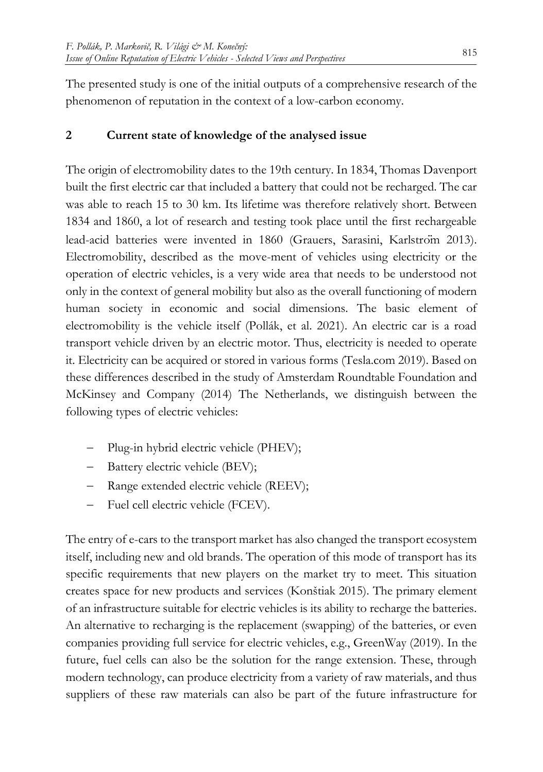The presented study is one of the initial outputs of a comprehensive research of the phenomenon of reputation in the context of a low-carbon economy.

## **2 Current state of knowledge of the analysed issue**

The origin of electromobility dates to the 19th century. In 1834, Thomas Davenport built the first electric car that included a battery that could not be recharged. The car was able to reach 15 to 30 km. Its lifetime was therefore relatively short. Between 1834 and 1860, a lot of research and testing took place until the first rechargeable lead-acid batteries were invented in 1860 (Grauers, Sarasini, Karlström 2013). Electromobility, described as the move-ment of vehicles using electricity or the operation of electric vehicles, is a very wide area that needs to be understood not only in the context of general mobility but also as the overall functioning of modern human society in economic and social dimensions. The basic element of electromobility is the vehicle itself (Pollák, et al. 2021). An electric car is a road transport vehicle driven by an electric motor. Thus, electricity is needed to operate it. Electricity can be acquired or stored in various forms (Tesla.com 2019). Based on these differences described in the study of Amsterdam Roundtable Foundation and McKinsey and Company (2014) The Netherlands, we distinguish between the following types of electric vehicles:

- Plug-in hybrid electric vehicle (PHEV);
- Battery electric vehicle (BEV);
- Range extended electric vehicle (REEV);
- Fuel cell electric vehicle (FCEV).

The entry of e-cars to the transport market has also changed the transport ecosystem itself, including new and old brands. The operation of this mode of transport has its specific requirements that new players on the market try to meet. This situation creates space for new products and services (Konštiak 2015). The primary element of an infrastructure suitable for electric vehicles is its ability to recharge the batteries. An alternative to recharging is the replacement (swapping) of the batteries, or even companies providing full service for electric vehicles, e.g., GreenWay (2019). In the future, fuel cells can also be the solution for the range extension. These, through modern technology, can produce electricity from a variety of raw materials, and thus suppliers of these raw materials can also be part of the future infrastructure for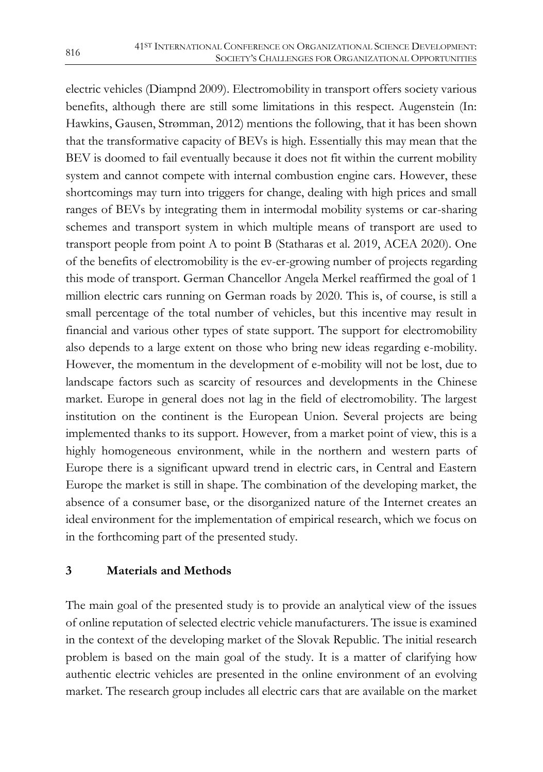electric vehicles (Diampnd 2009). Electromobility in transport offers society various benefits, although there are still some limitations in this respect. Augenstein (In: Hawkins, Gausen, Strømman, 2012) mentions the following, that it has been shown that the transformative capacity of BEVs is high. Essentially this may mean that the BEV is doomed to fail eventually because it does not fit within the current mobility system and cannot compete with internal combustion engine cars. However, these shortcomings may turn into triggers for change, dealing with high prices and small ranges of BEVs by integrating them in intermodal mobility systems or car-sharing schemes and transport system in which multiple means of transport are used to transport people from point A to point B (Statharas et al. 2019, ACEA 2020). One of the benefits of electromobility is the ev-er-growing number of projects regarding this mode of transport. German Chancellor Angela Merkel reaffirmed the goal of 1 million electric cars running on German roads by 2020. This is, of course, is still a small percentage of the total number of vehicles, but this incentive may result in financial and various other types of state support. The support for electromobility also depends to a large extent on those who bring new ideas regarding e-mobility. However, the momentum in the development of e-mobility will not be lost, due to landscape factors such as scarcity of resources and developments in the Chinese market. Europe in general does not lag in the field of electromobility. The largest institution on the continent is the European Union. Several projects are being implemented thanks to its support. However, from a market point of view, this is a highly homogeneous environment, while in the northern and western parts of Europe there is a significant upward trend in electric cars, in Central and Eastern Europe the market is still in shape. The combination of the developing market, the absence of a consumer base, or the disorganized nature of the Internet creates an ideal environment for the implementation of empirical research, which we focus on in the forthcoming part of the presented study.

### **3 Materials and Methods**

The main goal of the presented study is to provide an analytical view of the issues of online reputation of selected electric vehicle manufacturers. The issue is examined in the context of the developing market of the Slovak Republic. The initial research problem is based on the main goal of the study. It is a matter of clarifying how authentic electric vehicles are presented in the online environment of an evolving market. The research group includes all electric cars that are available on the market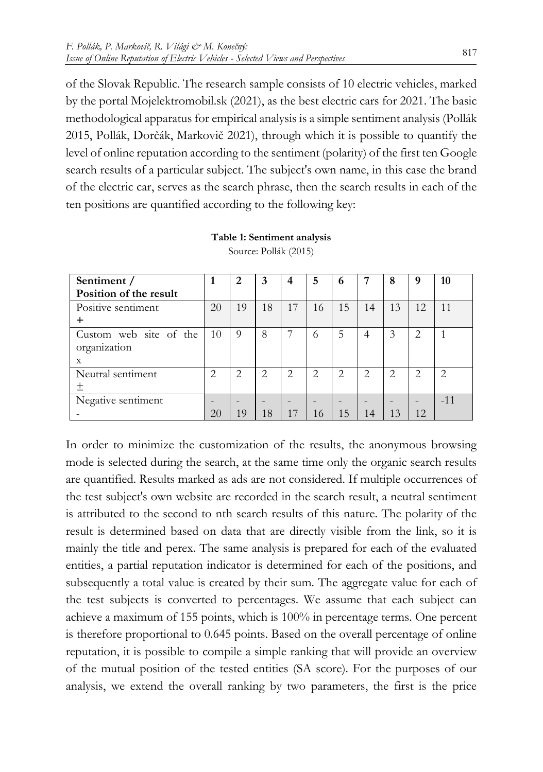of the Slovak Republic. The research sample consists of 10 electric vehicles, marked by the portal Mojelektromobil.sk (2021), as the best electric cars for 2021. The basic methodological apparatus for empirical analysis is a simple sentiment analysis (Pollák 2015, Pollák, Dorčák, Markovič 2021), through which it is possible to quantify the level of online reputation according to the sentiment (polarity) of the first ten Google search results of a particular subject. The subject's own name, in this case the brand of the electric car, serves as the search phrase, then the search results in each of the ten positions are quantified according to the following key:

| Sentiment /            |               | 2  | 3  | 4  | 5  | 6              | 7  | 8  | 9  | 10            |
|------------------------|---------------|----|----|----|----|----------------|----|----|----|---------------|
| Position of the result |               |    |    |    |    |                |    |    |    |               |
| Positive sentiment     | 20            | 19 | 18 | 17 | 16 | 15             | 14 | 13 | 12 | 11            |
|                        |               |    |    |    |    |                |    |    |    |               |
| Custom web site of the | 10            | 9  | 8  |    | 6  | .5             | 4  | 3  | 2  |               |
| organization           |               |    |    |    |    |                |    |    |    |               |
| X                      |               |    |    |    |    |                |    |    |    |               |
| Neutral sentiment      | $\mathcal{D}$ | っ  | 2  | っ  | 2  | $\overline{2}$ | 2  | 2  | っ  | $\mathcal{D}$ |
|                        |               |    |    |    |    |                |    |    |    |               |
| Negative sentiment     |               |    |    |    |    |                |    |    |    | $-11$         |
|                        | 20            | 19 | 18 | 17 | 16 | 15             | 14 | 13 | 12 |               |

**Table 1: Sentiment analysis** Source: Pollák (2015)

In order to minimize the customization of the results, the anonymous browsing mode is selected during the search, at the same time only the organic search results are quantified. Results marked as ads are not considered. If multiple occurrences of the test subject's own website are recorded in the search result, a neutral sentiment is attributed to the second to nth search results of this nature. The polarity of the result is determined based on data that are directly visible from the link, so it is mainly the title and perex. The same analysis is prepared for each of the evaluated entities, a partial reputation indicator is determined for each of the positions, and subsequently a total value is created by their sum. The aggregate value for each of the test subjects is converted to percentages. We assume that each subject can achieve a maximum of 155 points, which is 100% in percentage terms. One percent is therefore proportional to 0.645 points. Based on the overall percentage of online reputation, it is possible to compile a simple ranking that will provide an overview of the mutual position of the tested entities (SA score). For the purposes of our analysis, we extend the overall ranking by two parameters, the first is the price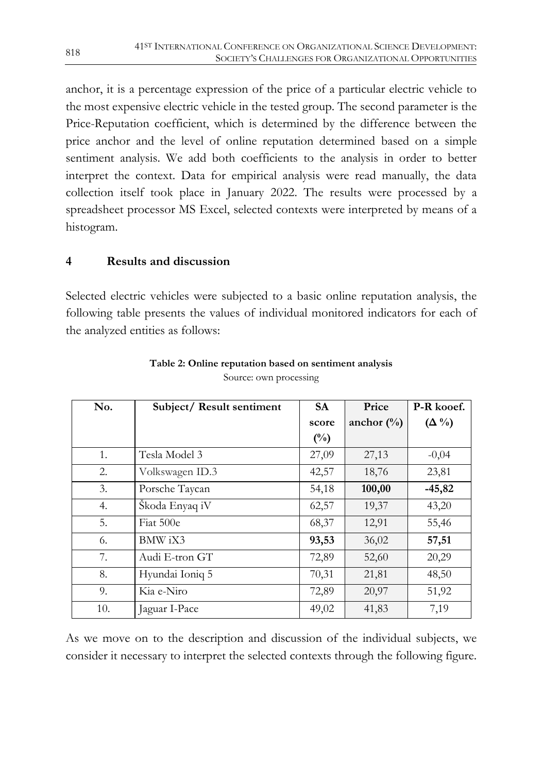anchor, it is a percentage expression of the price of a particular electric vehicle to the most expensive electric vehicle in the tested group. The second parameter is the Price-Reputation coefficient, which is determined by the difference between the price anchor and the level of online reputation determined based on a simple sentiment analysis. We add both coefficients to the analysis in order to better interpret the context. Data for empirical analysis were read manually, the data collection itself took place in January 2022. The results were processed by a spreadsheet processor MS Excel, selected contexts were interpreted by means of a histogram.

#### **4 Results and discussion**

Selected electric vehicles were subjected to a basic online reputation analysis, the following table presents the values of individual monitored indicators for each of the analyzed entities as follows:

| No. | Subject/Result sentiment | <b>SA</b>      | Price         | P-R kooef.    |
|-----|--------------------------|----------------|---------------|---------------|
|     |                          | score          | anchor $(\%)$ | $(\Delta \%)$ |
|     |                          | $\binom{0}{0}$ |               |               |
| 1.  | Tesla Model 3            | 27,09          | 27,13         | $-0,04$       |
| 2.  | Volkswagen ID.3          | 42,57          | 18,76         | 23,81         |
| 3.  | Porsche Taycan           | 54,18          | 100,00        | $-45,82$      |
| 4.  | Skoda Enyaq iV           | 62,57          | 19,37         | 43,20         |
| 5.  | Fiat 500e                | 68,37          | 12,91         | 55,46         |
| 6.  | BMW iX3                  | 93,53          | 36,02         | 57,51         |
| 7.  | Audi E-tron GT           | 72,89          | 52,60         | 20,29         |
| 8.  | Hyundai Ioniq 5          | 70,31          | 21,81         | 48,50         |
| 9.  | Kia e-Niro               | 72,89          | 20,97         | 51,92         |
| 10. | Jaguar I-Pace            | 49,02          | 41,83         | 7,19          |

#### **Table 2: Online reputation based on sentiment analysis** Source: own processing

As we move on to the description and discussion of the individual subjects, we consider it necessary to interpret the selected contexts through the following figure.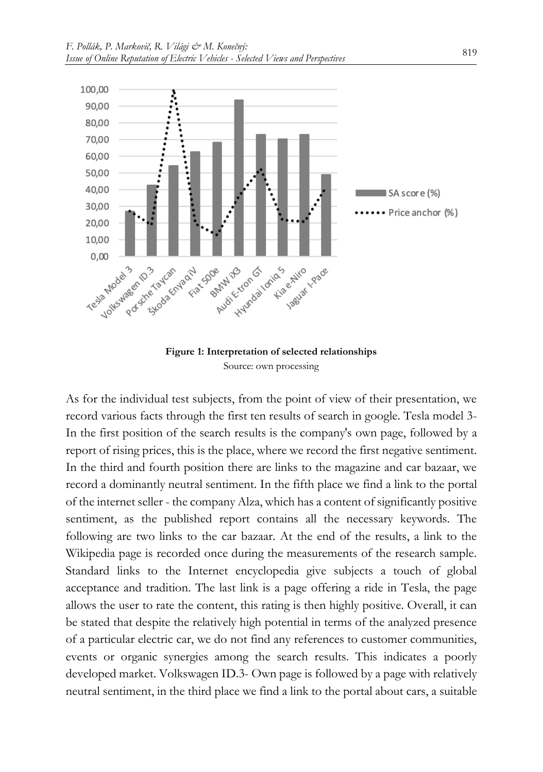



As for the individual test subjects, from the point of view of their presentation, we record various facts through the first ten results of search in google. Tesla model 3- In the first position of the search results is the company's own page, followed by a report of rising prices, this is the place, where we record the first negative sentiment. In the third and fourth position there are links to the magazine and car bazaar, we record a dominantly neutral sentiment. In the fifth place we find a link to the portal of the internet seller - the company Alza, which has a content of significantly positive sentiment, as the published report contains all the necessary keywords. The following are two links to the car bazaar. At the end of the results, a link to the Wikipedia page is recorded once during the measurements of the research sample. Standard links to the Internet encyclopedia give subjects a touch of global acceptance and tradition. The last link is a page offering a ride in Tesla, the page allows the user to rate the content, this rating is then highly positive. Overall, it can be stated that despite the relatively high potential in terms of the analyzed presence of a particular electric car, we do not find any references to customer communities, events or organic synergies among the search results. This indicates a poorly developed market. Volkswagen ID.3- Own page is followed by a page with relatively neutral sentiment, in the third place we find a link to the portal about cars, a suitable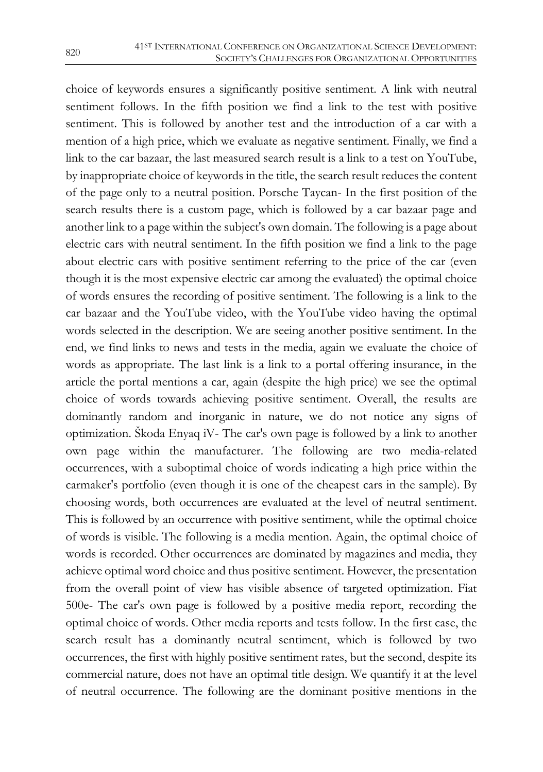choice of keywords ensures a significantly positive sentiment. A link with neutral sentiment follows. In the fifth position we find a link to the test with positive sentiment. This is followed by another test and the introduction of a car with a mention of a high price, which we evaluate as negative sentiment. Finally, we find a link to the car bazaar, the last measured search result is a link to a test on YouTube, by inappropriate choice of keywords in the title, the search result reduces the content of the page only to a neutral position. Porsche Taycan- In the first position of the search results there is a custom page, which is followed by a car bazaar page and another link to a page within the subject's own domain. The following is a page about electric cars with neutral sentiment. In the fifth position we find a link to the page about electric cars with positive sentiment referring to the price of the car (even though it is the most expensive electric car among the evaluated) the optimal choice of words ensures the recording of positive sentiment. The following is a link to the car bazaar and the YouTube video, with the YouTube video having the optimal words selected in the description. We are seeing another positive sentiment. In the end, we find links to news and tests in the media, again we evaluate the choice of words as appropriate. The last link is a link to a portal offering insurance, in the article the portal mentions a car, again (despite the high price) we see the optimal choice of words towards achieving positive sentiment. Overall, the results are dominantly random and inorganic in nature, we do not notice any signs of optimization. Škoda Enyaq iV- The car's own page is followed by a link to another own page within the manufacturer. The following are two media-related occurrences, with a suboptimal choice of words indicating a high price within the carmaker's portfolio (even though it is one of the cheapest cars in the sample). By choosing words, both occurrences are evaluated at the level of neutral sentiment. This is followed by an occurrence with positive sentiment, while the optimal choice of words is visible. The following is a media mention. Again, the optimal choice of words is recorded. Other occurrences are dominated by magazines and media, they achieve optimal word choice and thus positive sentiment. However, the presentation from the overall point of view has visible absence of targeted optimization. Fiat 500e- The car's own page is followed by a positive media report, recording the optimal choice of words. Other media reports and tests follow. In the first case, the search result has a dominantly neutral sentiment, which is followed by two occurrences, the first with highly positive sentiment rates, but the second, despite its commercial nature, does not have an optimal title design. We quantify it at the level of neutral occurrence. The following are the dominant positive mentions in the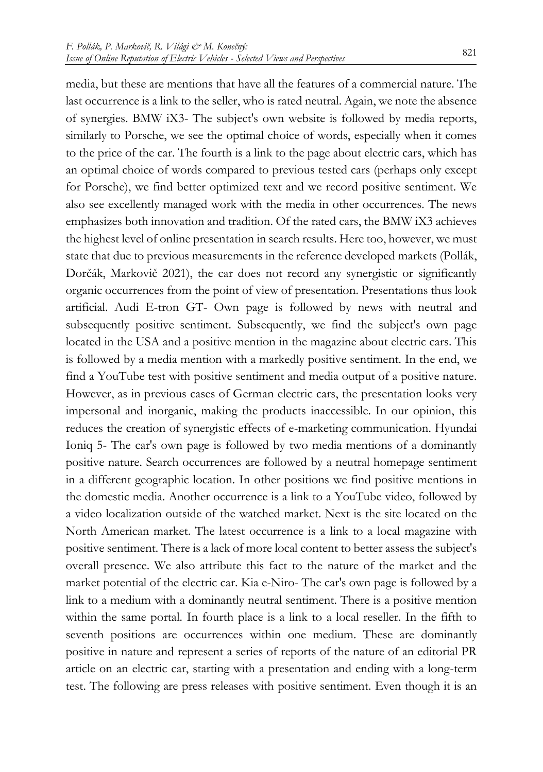media, but these are mentions that have all the features of a commercial nature. The last occurrence is a link to the seller, who is rated neutral. Again, we note the absence of synergies. BMW iX3- The subject's own website is followed by media reports, similarly to Porsche, we see the optimal choice of words, especially when it comes to the price of the car. The fourth is a link to the page about electric cars, which has an optimal choice of words compared to previous tested cars (perhaps only except for Porsche), we find better optimized text and we record positive sentiment. We also see excellently managed work with the media in other occurrences. The news emphasizes both innovation and tradition. Of the rated cars, the BMW iX3 achieves the highest level of online presentation in search results. Here too, however, we must state that due to previous measurements in the reference developed markets (Pollák, Dorčák, Markovič 2021), the car does not record any synergistic or significantly organic occurrences from the point of view of presentation. Presentations thus look artificial. Audi E-tron GT- Own page is followed by news with neutral and subsequently positive sentiment. Subsequently, we find the subject's own page located in the USA and a positive mention in the magazine about electric cars. This is followed by a media mention with a markedly positive sentiment. In the end, we find a YouTube test with positive sentiment and media output of a positive nature. However, as in previous cases of German electric cars, the presentation looks very impersonal and inorganic, making the products inaccessible. In our opinion, this reduces the creation of synergistic effects of e-marketing communication. Hyundai Ioniq 5- The car's own page is followed by two media mentions of a dominantly positive nature. Search occurrences are followed by a neutral homepage sentiment in a different geographic location. In other positions we find positive mentions in the domestic media. Another occurrence is a link to a YouTube video, followed by a video localization outside of the watched market. Next is the site located on the North American market. The latest occurrence is a link to a local magazine with positive sentiment. There is a lack of more local content to better assess the subject's overall presence. We also attribute this fact to the nature of the market and the market potential of the electric car. Kia e-Niro- The car's own page is followed by a link to a medium with a dominantly neutral sentiment. There is a positive mention within the same portal. In fourth place is a link to a local reseller. In the fifth to seventh positions are occurrences within one medium. These are dominantly positive in nature and represent a series of reports of the nature of an editorial PR article on an electric car, starting with a presentation and ending with a long-term test. The following are press releases with positive sentiment. Even though it is an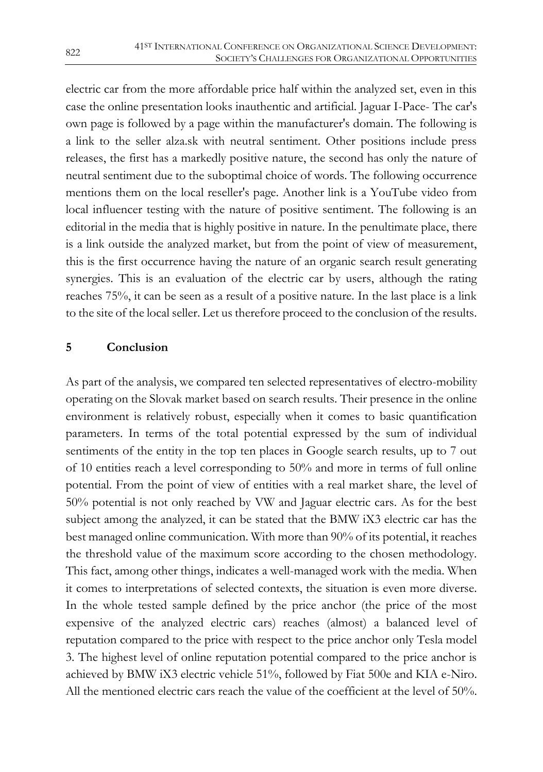electric car from the more affordable price half within the analyzed set, even in this case the online presentation looks inauthentic and artificial. Jaguar I-Pace- The car's own page is followed by a page within the manufacturer's domain. The following is a link to the seller alza.sk with neutral sentiment. Other positions include press releases, the first has a markedly positive nature, the second has only the nature of neutral sentiment due to the suboptimal choice of words. The following occurrence mentions them on the local reseller's page. Another link is a YouTube video from local influencer testing with the nature of positive sentiment. The following is an editorial in the media that is highly positive in nature. In the penultimate place, there is a link outside the analyzed market, but from the point of view of measurement, this is the first occurrence having the nature of an organic search result generating synergies. This is an evaluation of the electric car by users, although the rating reaches 75%, it can be seen as a result of a positive nature. In the last place is a link to the site of the local seller. Let us therefore proceed to the conclusion of the results.

#### **5 Conclusion**

As part of the analysis, we compared ten selected representatives of electro-mobility operating on the Slovak market based on search results. Their presence in the online environment is relatively robust, especially when it comes to basic quantification parameters. In terms of the total potential expressed by the sum of individual sentiments of the entity in the top ten places in Google search results, up to 7 out of 10 entities reach a level corresponding to 50% and more in terms of full online potential. From the point of view of entities with a real market share, the level of 50% potential is not only reached by VW and Jaguar electric cars. As for the best subject among the analyzed, it can be stated that the BMW iX3 electric car has the best managed online communication. With more than 90% of its potential, it reaches the threshold value of the maximum score according to the chosen methodology. This fact, among other things, indicates a well-managed work with the media. When it comes to interpretations of selected contexts, the situation is even more diverse. In the whole tested sample defined by the price anchor (the price of the most expensive of the analyzed electric cars) reaches (almost) a balanced level of reputation compared to the price with respect to the price anchor only Tesla model 3. The highest level of online reputation potential compared to the price anchor is achieved by BMW iX3 electric vehicle 51%, followed by Fiat 500e and KIA e-Niro. All the mentioned electric cars reach the value of the coefficient at the level of 50%.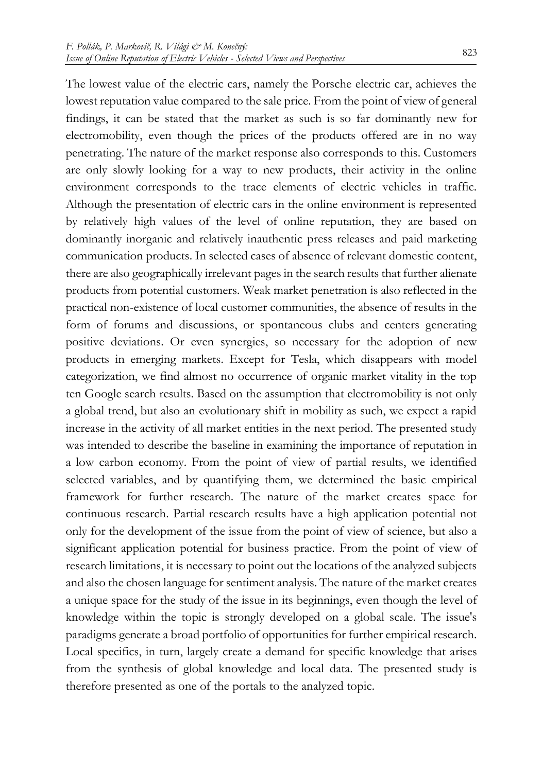The lowest value of the electric cars, namely the Porsche electric car, achieves the lowest reputation value compared to the sale price. From the point of view of general findings, it can be stated that the market as such is so far dominantly new for electromobility, even though the prices of the products offered are in no way penetrating. The nature of the market response also corresponds to this. Customers are only slowly looking for a way to new products, their activity in the online environment corresponds to the trace elements of electric vehicles in traffic. Although the presentation of electric cars in the online environment is represented by relatively high values of the level of online reputation, they are based on dominantly inorganic and relatively inauthentic press releases and paid marketing communication products. In selected cases of absence of relevant domestic content, there are also geographically irrelevant pages in the search results that further alienate products from potential customers. Weak market penetration is also reflected in the practical non-existence of local customer communities, the absence of results in the form of forums and discussions, or spontaneous clubs and centers generating positive deviations. Or even synergies, so necessary for the adoption of new products in emerging markets. Except for Tesla, which disappears with model categorization, we find almost no occurrence of organic market vitality in the top ten Google search results. Based on the assumption that electromobility is not only a global trend, but also an evolutionary shift in mobility as such, we expect a rapid increase in the activity of all market entities in the next period. The presented study was intended to describe the baseline in examining the importance of reputation in a low carbon economy. From the point of view of partial results, we identified selected variables, and by quantifying them, we determined the basic empirical framework for further research. The nature of the market creates space for continuous research. Partial research results have a high application potential not only for the development of the issue from the point of view of science, but also a significant application potential for business practice. From the point of view of research limitations, it is necessary to point out the locations of the analyzed subjects and also the chosen language for sentiment analysis. The nature of the market creates a unique space for the study of the issue in its beginnings, even though the level of knowledge within the topic is strongly developed on a global scale. The issue's paradigms generate a broad portfolio of opportunities for further empirical research. Local specifics, in turn, largely create a demand for specific knowledge that arises from the synthesis of global knowledge and local data. The presented study is therefore presented as one of the portals to the analyzed topic.